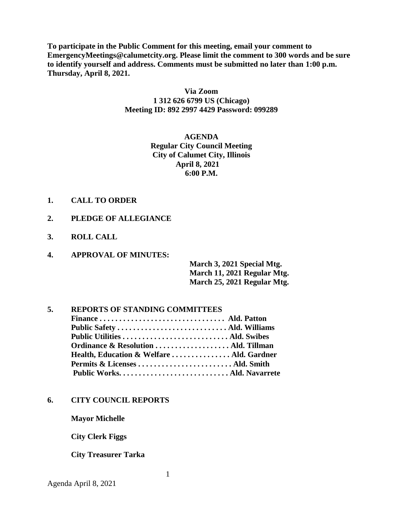**To participate in the Public Comment for this meeting, email your comment to EmergencyMeetings@calumetcity.org. Please limit the comment to 300 words and be sure to identify yourself and address. Comments must be submitted no later than 1:00 p.m. Thursday, April 8, 2021.**

## **Via Zoom 1 312 626 6799 US (Chicago) Meeting ID: 892 2997 4429 Password: 099289**

**AGENDA Regular City Council Meeting City of Calumet City, Illinois April 8, 2021 6:00 P.M.** 

- **1. CALL TO ORDER**
- **2. PLEDGE OF ALLEGIANCE**
- **3. ROLL CALL**
- **4. APPROVAL OF MINUTES:**

**March 3, 2021 Special Mtg. March 11, 2021 Regular Mtg. March 25, 2021 Regular Mtg.** 

# **5. REPORTS OF STANDING COMMITTEES**

| Ordinance & Resolution  Ald. Tillman      |  |
|-------------------------------------------|--|
| Health, Education & Welfare  Ald. Gardner |  |
|                                           |  |
|                                           |  |

#### **6. CITY COUNCIL REPORTS**

**Mayor Michelle**

**City Clerk Figgs**

#### **City Treasurer Tarka**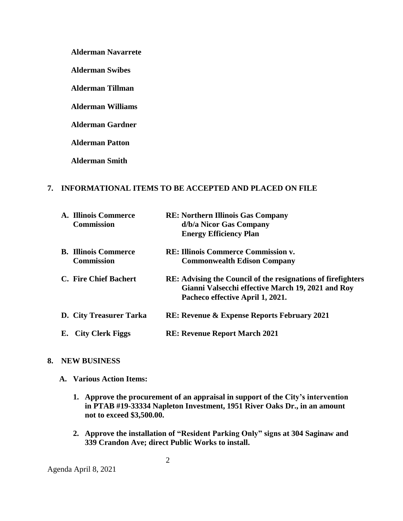**Alderman Navarrete**

**Alderman Swibes**

**Alderman Tillman**

**Alderman Williams**

**Alderman Gardner**

**Alderman Patton**

**Alderman Smith**

### **7. INFORMATIONAL ITEMS TO BE ACCEPTED AND PLACED ON FILE**

|    | A. Illinois Commerce<br><b>Commission</b>        | <b>RE: Northern Illinois Gas Company</b><br>d/b/a Nicor Gas Company<br><b>Energy Efficiency Plan</b>                                                          |
|----|--------------------------------------------------|---------------------------------------------------------------------------------------------------------------------------------------------------------------|
|    | <b>B.</b> Illinois Commerce<br><b>Commission</b> | <b>RE: Illinois Commerce Commission v.</b><br><b>Commonwealth Edison Company</b>                                                                              |
|    | C. Fire Chief Bachert                            | <b>RE:</b> Advising the Council of the resignations of fire fighters<br>Gianni Valsecchi effective March 19, 2021 and Roy<br>Pacheco effective April 1, 2021. |
|    | D. City Treasurer Tarka                          | <b>RE: Revenue &amp; Expense Reports February 2021</b>                                                                                                        |
| Е. | <b>City Clerk Figgs</b>                          | <b>RE: Revenue Report March 2021</b>                                                                                                                          |

#### **8. NEW BUSINESS**

- **A. Various Action Items:**
	- **1. Approve the procurement of an appraisal in support of the City's intervention in PTAB #19-33334 Napleton Investment, 1951 River Oaks Dr., in an amount not to exceed \$3,500.00.**
	- **2. Approve the installation of "Resident Parking Only" signs at 304 Saginaw and 339 Crandon Ave; direct Public Works to install.**

Agenda April 8, 2021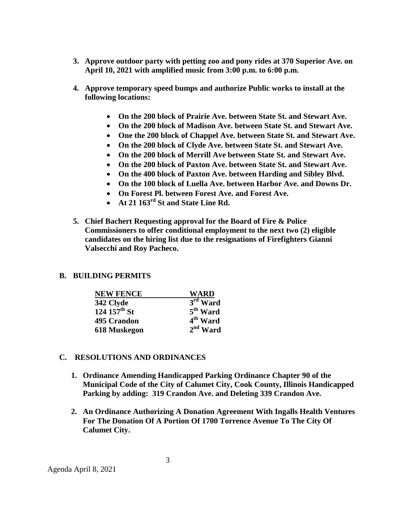- **3. Approve outdoor party with petting zoo and pony rides at 370 Superior Ave. on April 10, 2021 with amplified music from 3:00 p.m. to 6:00 p.m.**
- **4. Approve temporary speed bumps and authorize Public works to install at the following locations:**
	- **On the 200 block of Prairie Ave. between State St. and Stewart Ave.**
	- **On the 200 block of Madison Ave. between State St. and Stewart Ave.**
	- **One the 200 block of Chappel Ave. between State St. and Stewart Ave.**
	- **On the 200 block of Clyde Ave. between State St. and Stewart Ave.**
	- **On the 200 block of Merrill Ave between State St. and Stewart Ave.**
	- **On the 200 block of Paxton Ave. between State St. and Stewart Ave.**
	- **On the 400 block of Paxton Ave. between Harding and Sibley Blvd.**
	- **On the 100 block of Luella Ave. between Harbor Ave. and Downs Dr.**
	- **On Forest Pl. between Forest Ave. and Forest Ave.**
	- **At 21 163rd St and State Line Rd.**
- **5. Chief Bachert Requesting approval for the Board of Fire & Police Commissioners to offer conditional employment to the next two (2) eligible candidates on the hiring list due to the resignations of Firefighters Gianni Valsecchi and Roy Pacheco.**

### **B. BUILDING PERMITS**

| <b>NEW FENCE</b>         | WARD                 |
|--------------------------|----------------------|
| 342 Clyde                | 3rd Ward             |
| 124 $157^{\text{th}}$ St | $5th$ Ward           |
| 495 Crandon              | 4 <sup>th</sup> Ward |
| 618 Muskegon             | $2nd$ Ward           |

### **C. RESOLUTIONS AND ORDINANCES**

- **1. Ordinance Amending Handicapped Parking Ordinance Chapter 90 of the Municipal Code of the City of Calumet City, Cook County, Illinois Handicapped Parking by adding: 319 Crandon Ave. and Deleting 339 Crandon Ave.**
- **2. An Ordinance Authorizing A Donation Agreement With Ingalls Health Ventures For The Donation Of A Portion Of 1700 Torrence Avenue To The City Of Calumet City.**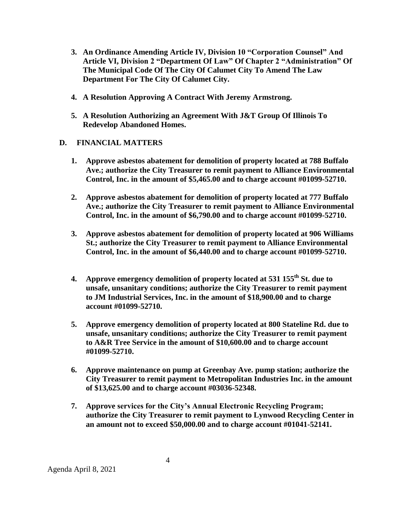- **3. An Ordinance Amending Article IV, Division 10 "Corporation Counsel" And Article VI, Division 2 "Department Of Law" Of Chapter 2 "Administration" Of The Municipal Code Of The City Of Calumet City To Amend The Law Department For The City Of Calumet City.**
- **4. A Resolution Approving A Contract With Jeremy Armstrong.**
- **5. A Resolution Authorizing an Agreement With J&T Group Of Illinois To Redevelop Abandoned Homes.**
- **D. FINANCIAL MATTERS** 
	- **1. Approve asbestos abatement for demolition of property located at 788 Buffalo Ave.; authorize the City Treasurer to remit payment to Alliance Environmental Control, Inc. in the amount of \$5,465.00 and to charge account #01099-52710.**
	- **2. Approve asbestos abatement for demolition of property located at 777 Buffalo Ave.; authorize the City Treasurer to remit payment to Alliance Environmental Control, Inc. in the amount of \$6,790.00 and to charge account #01099-52710.**
	- **3. Approve asbestos abatement for demolition of property located at 906 Williams St.; authorize the City Treasurer to remit payment to Alliance Environmental Control, Inc. in the amount of \$6,440.00 and to charge account #01099-52710.**
	- **4. Approve emergency demolition of property located at 531 155th St. due to unsafe, unsanitary conditions; authorize the City Treasurer to remit payment to JM Industrial Services, Inc. in the amount of \$18,900.00 and to charge account #01099-52710.**
	- **5. Approve emergency demolition of property located at 800 Stateline Rd. due to unsafe, unsanitary conditions; authorize the City Treasurer to remit payment to A&R Tree Service in the amount of \$10,600.00 and to charge account #01099-52710.**
	- **6. Approve maintenance on pump at Greenbay Ave. pump station; authorize the City Treasurer to remit payment to Metropolitan Industries Inc. in the amount of \$13,625.00 and to charge account #03036-52348.**
	- **7. Approve services for the City's Annual Electronic Recycling Program; authorize the City Treasurer to remit payment to Lynwood Recycling Center in an amount not to exceed \$50,000.00 and to charge account #01041-52141.**